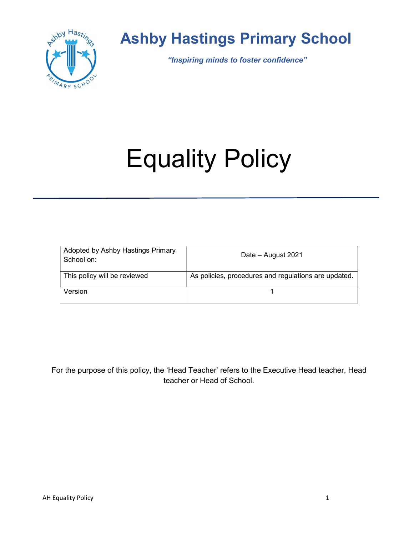

# Ashby Hastings Primary School

"Inspiring minds to foster confidence"

# Equality Policy

| Adopted by Ashby Hastings Primary<br>School on: | Date - August 2021                                   |  |
|-------------------------------------------------|------------------------------------------------------|--|
| This policy will be reviewed                    | As policies, procedures and regulations are updated. |  |
| Version                                         |                                                      |  |

For the purpose of this policy, the 'Head Teacher' refers to the Executive Head teacher, Head teacher or Head of School.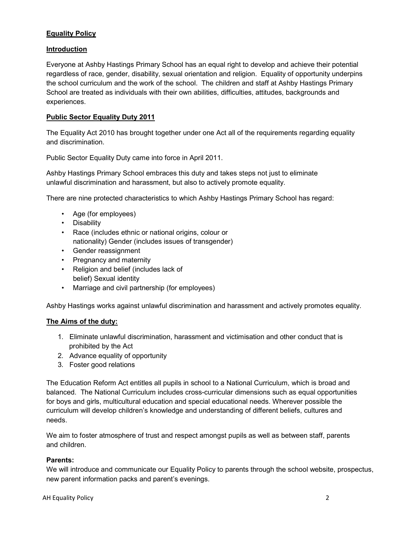## **Equality Policy**

## Introduction

Everyone at Ashby Hastings Primary School has an equal right to develop and achieve their potential regardless of race, gender, disability, sexual orientation and religion. Equality of opportunity underpins the school curriculum and the work of the school. The children and staff at Ashby Hastings Primary School are treated as individuals with their own abilities, difficulties, attitudes, backgrounds and experiences.

#### Public Sector Equality Duty 2011

The Equality Act 2010 has brought together under one Act all of the requirements regarding equality and discrimination.

Public Sector Equality Duty came into force in April 2011.

Ashby Hastings Primary School embraces this duty and takes steps not just to eliminate unlawful discrimination and harassment, but also to actively promote equality.

There are nine protected characteristics to which Ashby Hastings Primary School has regard:

- Age (for employees)
- Disability
- Race (includes ethnic or national origins, colour or nationality) Gender (includes issues of transgender)
- Gender reassignment
- Pregnancy and maternity
- Religion and belief (includes lack of belief) Sexual identity
- Marriage and civil partnership (for employees)

Ashby Hastings works against unlawful discrimination and harassment and actively promotes equality.

#### The Aims of the duty:

- 1. Eliminate unlawful discrimination, harassment and victimisation and other conduct that is prohibited by the Act
- 2. Advance equality of opportunity
- 3. Foster good relations

The Education Reform Act entitles all pupils in school to a National Curriculum, which is broad and balanced. The National Curriculum includes cross-curricular dimensions such as equal opportunities for boys and girls, multicultural education and special educational needs. Wherever possible the curriculum will develop children's knowledge and understanding of different beliefs, cultures and needs.

We aim to foster atmosphere of trust and respect amongst pupils as well as between staff, parents and children.

#### Parents:

We will introduce and communicate our Equality Policy to parents through the school website, prospectus, new parent information packs and parent's evenings.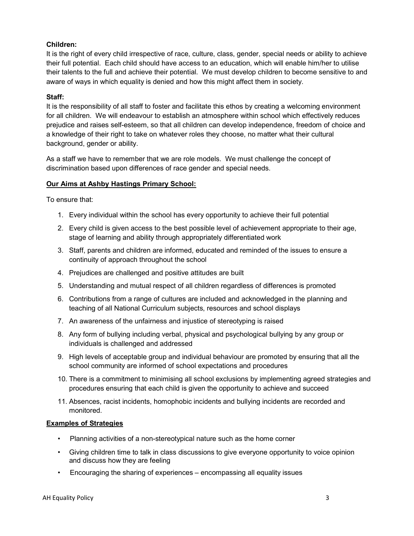#### Children:

It is the right of every child irrespective of race, culture, class, gender, special needs or ability to achieve their full potential. Each child should have access to an education, which will enable him/her to utilise their talents to the full and achieve their potential. We must develop children to become sensitive to and aware of ways in which equality is denied and how this might affect them in society.

#### Staff:

It is the responsibility of all staff to foster and facilitate this ethos by creating a welcoming environment for all children. We will endeavour to establish an atmosphere within school which effectively reduces prejudice and raises self-esteem, so that all children can develop independence, freedom of choice and a knowledge of their right to take on whatever roles they choose, no matter what their cultural background, gender or ability.

As a staff we have to remember that we are role models. We must challenge the concept of discrimination based upon differences of race gender and special needs.

#### Our Aims at Ashby Hastings Primary School:

To ensure that:

- 1. Every individual within the school has every opportunity to achieve their full potential
- 2. Every child is given access to the best possible level of achievement appropriate to their age, stage of learning and ability through appropriately differentiated work
- 3. Staff, parents and children are informed, educated and reminded of the issues to ensure a continuity of approach throughout the school
- 4. Prejudices are challenged and positive attitudes are built
- 5. Understanding and mutual respect of all children regardless of differences is promoted
- 6. Contributions from a range of cultures are included and acknowledged in the planning and teaching of all National Curriculum subjects, resources and school displays
- 7. An awareness of the unfairness and injustice of stereotyping is raised
- 8. Any form of bullying including verbal, physical and psychological bullying by any group or individuals is challenged and addressed
- 9. High levels of acceptable group and individual behaviour are promoted by ensuring that all the school community are informed of school expectations and procedures
- 10. There is a commitment to minimising all school exclusions by implementing agreed strategies and procedures ensuring that each child is given the opportunity to achieve and succeed
- 11. Absences, racist incidents, homophobic incidents and bullying incidents are recorded and monitored.

#### Examples of Strategies

- Planning activities of a non-stereotypical nature such as the home corner
- Giving children time to talk in class discussions to give everyone opportunity to voice opinion and discuss how they are feeling
- Encouraging the sharing of experiences encompassing all equality issues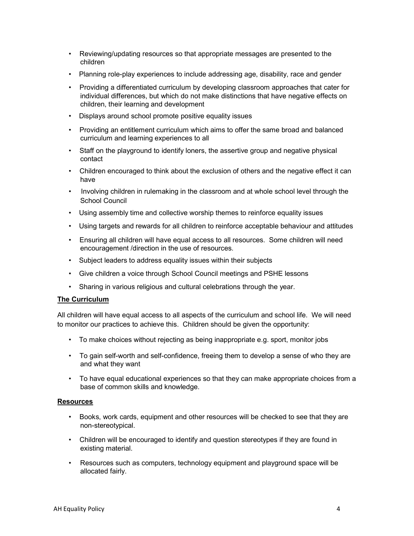- Reviewing/updating resources so that appropriate messages are presented to the children
- Planning role-play experiences to include addressing age, disability, race and gender
- Providing a differentiated curriculum by developing classroom approaches that cater for individual differences, but which do not make distinctions that have negative effects on children, their learning and development
- Displays around school promote positive equality issues
- Providing an entitlement curriculum which aims to offer the same broad and balanced curriculum and learning experiences to all
- Staff on the playground to identify loners, the assertive group and negative physical contact
- Children encouraged to think about the exclusion of others and the negative effect it can have
- Involving children in rulemaking in the classroom and at whole school level through the School Council
- Using assembly time and collective worship themes to reinforce equality issues
- Using targets and rewards for all children to reinforce acceptable behaviour and attitudes
- Ensuring all children will have equal access to all resources. Some children will need encouragement /direction in the use of resources.
- Subject leaders to address equality issues within their subjects
- Give children a voice through School Council meetings and PSHE lessons
- Sharing in various religious and cultural celebrations through the year.

#### The Curriculum

All children will have equal access to all aspects of the curriculum and school life. We will need to monitor our practices to achieve this. Children should be given the opportunity:

- To make choices without rejecting as being inappropriate e.g. sport, monitor jobs
- To gain self-worth and self-confidence, freeing them to develop a sense of who they are and what they want
- To have equal educational experiences so that they can make appropriate choices from a base of common skills and knowledge.

#### Resources

- Books, work cards, equipment and other resources will be checked to see that they are non-stereotypical.
- Children will be encouraged to identify and question stereotypes if they are found in existing material.
- Resources such as computers, technology equipment and playground space will be allocated fairly.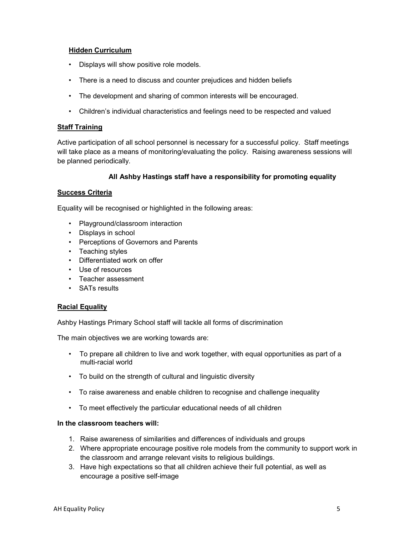#### Hidden Curriculum

- Displays will show positive role models.
- There is a need to discuss and counter prejudices and hidden beliefs
- The development and sharing of common interests will be encouraged.
- Children's individual characteristics and feelings need to be respected and valued

#### **Staff Training**

Active participation of all school personnel is necessary for a successful policy. Staff meetings will take place as a means of monitoring/evaluating the policy. Raising awareness sessions will be planned periodically.

#### All Ashby Hastings staff have a responsibility for promoting equality

#### Success Criteria

Equality will be recognised or highlighted in the following areas:

- Playground/classroom interaction
- Displays in school
- Perceptions of Governors and Parents
- Teaching styles
- Differentiated work on offer
- Use of resources
- Teacher assessment
- SATs results

#### Racial Equality

Ashby Hastings Primary School staff will tackle all forms of discrimination

The main objectives we are working towards are:

- To prepare all children to live and work together, with equal opportunities as part of a multi-racial world
- To build on the strength of cultural and linguistic diversity
- To raise awareness and enable children to recognise and challenge inequality
- To meet effectively the particular educational needs of all children

#### In the classroom teachers will:

- 1. Raise awareness of similarities and differences of individuals and groups
- 2. Where appropriate encourage positive role models from the community to support work in the classroom and arrange relevant visits to religious buildings.
- 3. Have high expectations so that all children achieve their full potential, as well as encourage a positive self-image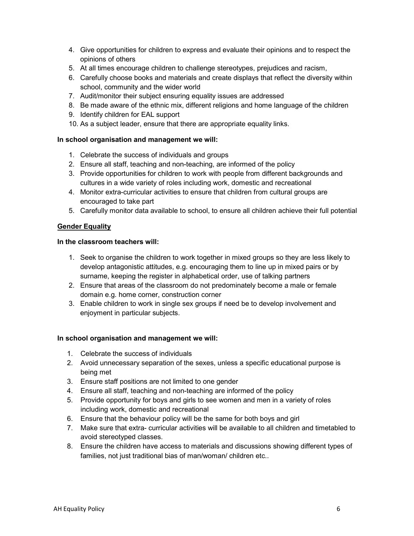- 4. Give opportunities for children to express and evaluate their opinions and to respect the opinions of others
- 5. At all times encourage children to challenge stereotypes, prejudices and racism,
- 6. Carefully choose books and materials and create displays that reflect the diversity within school, community and the wider world
- 7. Audit/monitor their subject ensuring equality issues are addressed
- 8. Be made aware of the ethnic mix, different religions and home language of the children
- 9. Identify children for EAL support
- 10. As a subject leader, ensure that there are appropriate equality links.

#### In school organisation and management we will:

- 1. Celebrate the success of individuals and groups
- 2. Ensure all staff, teaching and non-teaching, are informed of the policy
- 3. Provide opportunities for children to work with people from different backgrounds and cultures in a wide variety of roles including work, domestic and recreational
- 4. Monitor extra-curricular activities to ensure that children from cultural groups are encouraged to take part
- 5. Carefully monitor data available to school, to ensure all children achieve their full potential

#### **Gender Equality**

#### In the classroom teachers will:

- 1. Seek to organise the children to work together in mixed groups so they are less likely to develop antagonistic attitudes, e.g. encouraging them to line up in mixed pairs or by surname, keeping the register in alphabetical order, use of talking partners
- 2. Ensure that areas of the classroom do not predominately become a male or female domain e.g. home corner, construction corner
- 3. Enable children to work in single sex groups if need be to develop involvement and enjoyment in particular subjects.

#### In school organisation and management we will:

- 1. Celebrate the success of individuals
- 2. Avoid unnecessary separation of the sexes, unless a specific educational purpose is being met
- 3. Ensure staff positions are not limited to one gender
- 4. Ensure all staff, teaching and non-teaching are informed of the policy
- 5. Provide opportunity for boys and girls to see women and men in a variety of roles including work, domestic and recreational
- 6. Ensure that the behaviour policy will be the same for both boys and girl
- 7. Make sure that extra- curricular activities will be available to all children and timetabled to avoid stereotyped classes.
- 8. Ensure the children have access to materials and discussions showing different types of families, not just traditional bias of man/woman/ children etc..